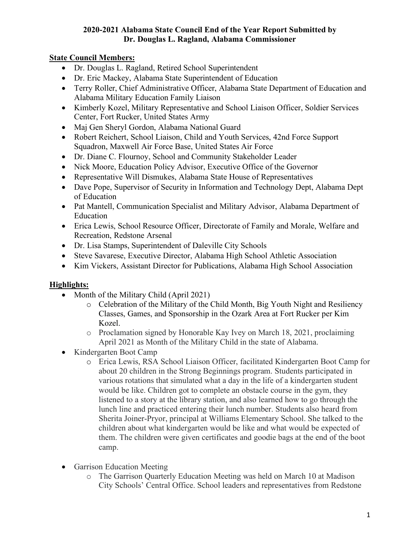## **State Council Members:**

- Dr. Douglas L. Ragland, Retired School Superintendent
- Dr. Eric Mackey, Alabama State Superintendent of Education
- Terry Roller, Chief Administrative Officer, Alabama State Department of Education and Alabama Military Education Family Liaison
- Kimberly Kozel, Military Representative and School Liaison Officer, Soldier Services Center, Fort Rucker, United States Army
- Maj Gen Sheryl Gordon, Alabama National Guard
- Robert Reichert, School Liaison, Child and Youth Services, 42nd Force Support Squadron, Maxwell Air Force Base, United States Air Force
- Dr. Diane C. Flournoy, School and Community Stakeholder Leader
- Nick Moore, Education Policy Advisor, Executive Office of the Governor
- Representative Will Dismukes, Alabama State House of Representatives
- Dave Pope, Supervisor of Security in Information and Technology Dept, Alabama Dept of Education
- Pat Mantell, Communication Specialist and Military Advisor, Alabama Department of Education
- Erica Lewis, School Resource Officer, Directorate of Family and Morale, Welfare and Recreation, Redstone Arsenal
- Dr. Lisa Stamps, Superintendent of Daleville City Schools
- Steve Savarese, Executive Director, Alabama High School Athletic Association
- Kim Vickers, Assistant Director for Publications, Alabama High School Association

# **Highlights:**

- Month of the Military Child (April 2021)
	- o Celebration of the Military of the Child Month, Big Youth Night and Resiliency Classes, Games, and Sponsorship in the Ozark Area at Fort Rucker per Kim Kozel.
	- o Proclamation signed by Honorable Kay Ivey on March 18, 2021, proclaiming April 2021 as Month of the Military Child in the state of Alabama.
- Kindergarten Boot Camp
	- o Erica Lewis, RSA School Liaison Officer, facilitated Kindergarten Boot Camp for about 20 children in the Strong Beginnings program. Students participated in various rotations that simulated what a day in the life of a kindergarten student would be like. Children got to complete an obstacle course in the gym, they listened to a story at the library station, and also learned how to go through the lunch line and practiced entering their lunch number. Students also heard from Sherita Joiner-Pryor, principal at Williams Elementary School. She talked to the children about what kindergarten would be like and what would be expected of them. The children were given certificates and goodie bags at the end of the boot camp.
- Garrison Education Meeting
	- o The Garrison Quarterly Education Meeting was held on March 10 at Madison City Schools' Central Office. School leaders and representatives from Redstone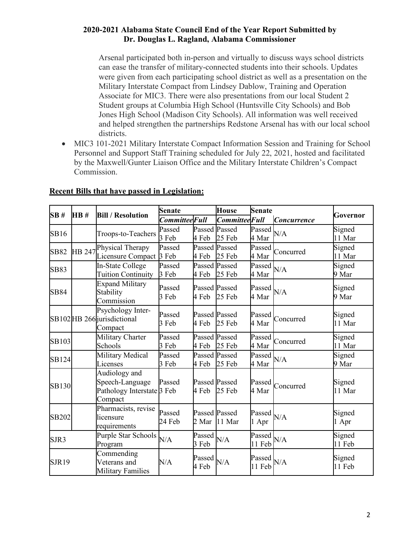Arsenal participated both in-person and virtually to discuss ways school districts can ease the transfer of military-connected students into their schools. Updates were given from each participating school district as well as a presentation on the Military Interstate Compact from Lindsey Dablow, Training and Operation Associate for MIC3. There were also presentations from our local Student 2 Student groups at Columbia High School (Huntsville City Schools) and Bob Jones High School (Madison City Schools). All information was well received and helped strengthen the partnerships Redstone Arsenal has with our local school districts.

• MIC3 101-2021 Military Interstate Compact Information Session and Training for School Personnel and Support Staff Training scheduled for July 22, 2021, hosted and facilitated by the Maxwell/Gunter Liaison Office and the Military Interstate Children's Compact Commission.

| SB#          | HB#    | <b>Bill / Resolution</b>                                                  | <b>Senate</b>    |                 | <b>House</b>                   | <b>Senate</b>                          |                    |                  |
|--------------|--------|---------------------------------------------------------------------------|------------------|-----------------|--------------------------------|----------------------------------------|--------------------|------------------|
|              |        |                                                                           | Committee Full   |                 | <b>Committee Full</b>          |                                        | <b>Concurrence</b> | Governor         |
| SB16         |        | Troops-to-Teachers                                                        | Passed<br>3 Feb  | 4 Feb           | <b>Passed Passed</b><br>25 Feb | Passed<br>4 Mar                        | N/A                | Signed<br>11 Mar |
| <b>SB82</b>  | HB 247 | Physical Therapy<br>Licensure Compact 3 Feb                               | Passed           | 4 Feb           | <b>Passed</b> Passed<br>25 Feb | Passed<br>4 Mar                        | Concurred          | Signed<br>11 Mar |
| SB83         |        | In-State College<br><b>Tuition Continuity</b>                             | Passed<br>3 Feb  | 4 Feb           | <b>Passed Passed</b><br>25 Feb | Passed<br>4 Mar                        | N/A                | Signed<br>9 Mar  |
| SB84         |        | <b>Expand Military</b><br>Stability<br>Commission                         | Passed<br>3 Feb  | 4 Feb           | Passed Passed<br>25 Feb        | $\operatorname{Pascal}_{N/A}$<br>4 Mar |                    | Signed<br>9 Mar  |
|              |        | Psychology Inter-<br>SB102 HB 266 jurisdictional<br>Compact               | Passed<br>3 Feb  | 4 Feb           | Passed Passed<br>25 Feb        | Passed<br>4 Mar                        | Concurred          | Signed<br>11 Mar |
| SB103        |        | Military Charter<br>Schools                                               | Passed<br>3 Feb  | 4 Feb           | Passed Passed<br>25 Feb        | Passed<br>4 Mar                        | Concurred          | Signed<br>11 Mar |
| SB124        |        | Military Medical<br>Licenses                                              | Passed<br>3 Feb  | 4 Feb           | <b>Passed Passed</b><br>25 Feb | Passed<br>4 Mar                        | N/A                | Signed<br>9 Mar  |
| <b>SB130</b> |        | Audiology and<br>Speech-Language<br>Pathology Interstate 3 Feb<br>Compact | Passed           | 4 Feb           | Passed Passed<br>25 Feb        | Passed<br>4 Mar                        | Concurred          | Signed<br>11 Mar |
| SB202        |        | Pharmacists, revise<br>licensure<br>requirements                          | Passed<br>24 Feb | 2 Mar           | Passed Passed<br>11 Mar        | Passed<br>1 Apr                        | N/A                | Signed<br>1 Apr  |
| SJR3         |        | Purple Star Schools<br>Program                                            | N/A              | Passed<br>3 Feb | N/A                            | Passed<br>11 Feb                       | N/A                | Signed<br>11 Feb |
| <b>SJR19</b> |        | Commending<br>Veterans and<br><b>Military Families</b>                    | N/A              | Passed<br>4 Feb | N/A                            | Passed<br>11 Feb                       | N/A                | Signed<br>11 Feb |

### **Recent Bills that have passed in Legislation:**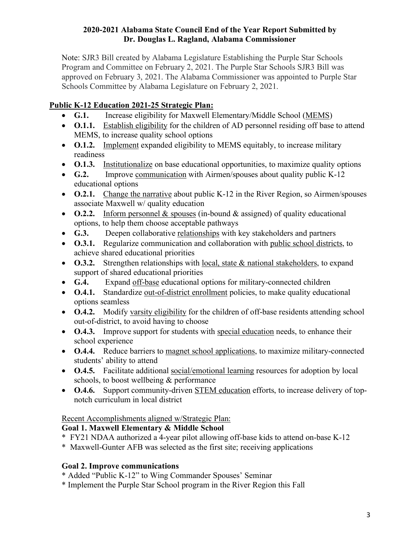Note: SJR3 Bill created by Alabama Legislature Establishing the Purple Star Schools Program and Committee on February 2, 2021. The Purple Star Schools SJR3 Bill was approved on February 3, 2021. The Alabama Commissioner was appointed to Purple Star Schools Committee by Alabama Legislature on February 2, 2021.

# **Public K-12 Education 2021-25 Strategic Plan:**

- **G.1.** Increase eligibility for Maxwell Elementary/Middle School (MEMS)
- **0.1.1.** Establish eligibility for the children of AD personnel residing off base to attend MEMS, to increase quality school options
- **O.1.2.** Implement expanded eligibility to MEMS equitably, to increase military readiness
- **O.1.3.** Institutionalize on base educational opportunities, to maximize quality options
- **G.2.** Improve communication with Airmen/spouses about quality public K-12 educational options
- **O.2.1.** Change the narrative about public K-12 in the River Region, so Airmen/spouses associate Maxwell w/ quality education
- **O.2.2.** Inform personnel & spouses (in-bound & assigned) of quality educational options, to help them choose acceptable pathways
- **G.3.** Deepen collaborative relationships with key stakeholders and partners
- **O.3.1.** Regularize communication and collaboration with public school districts, to achieve shared educational priorities
- **O.3.2.** Strengthen relationships with local, state & national stakeholders, to expand support of shared educational priorities
- **G.4.** Expand off-base educational options for military-connected children
- **O.4.1.** Standardize out-of-district enrollment policies, to make quality educational options seamless
- **O.4.2.** Modify varsity eligibility for the children of off-base residents attending school out-of-district, to avoid having to choose
- **O.4.3.** Improve support for students with special education needs, to enhance their school experience
- **O.4.4.** Reduce barriers to magnet school applications, to maximize military-connected students' ability to attend
- **O.4.5.** Facilitate additional social/emotional learning resources for adoption by local schools, to boost wellbeing & performance
- **O.4.6.** Support community-driven STEM education efforts, to increase delivery of topnotch curriculum in local district

# Recent Accomplishments aligned w/Strategic Plan:

# **Goal 1. Maxwell Elementary & Middle School**

- \* FY21 NDAA authorized a 4-year pilot allowing off-base kids to attend on-base K-12
- \* Maxwell-Gunter AFB was selected as the first site; receiving applications

# **Goal 2. Improve communications**

- \* Added "Public K-12" to Wing Commander Spouses' Seminar
- \* Implement the Purple Star School program in the River Region this Fall